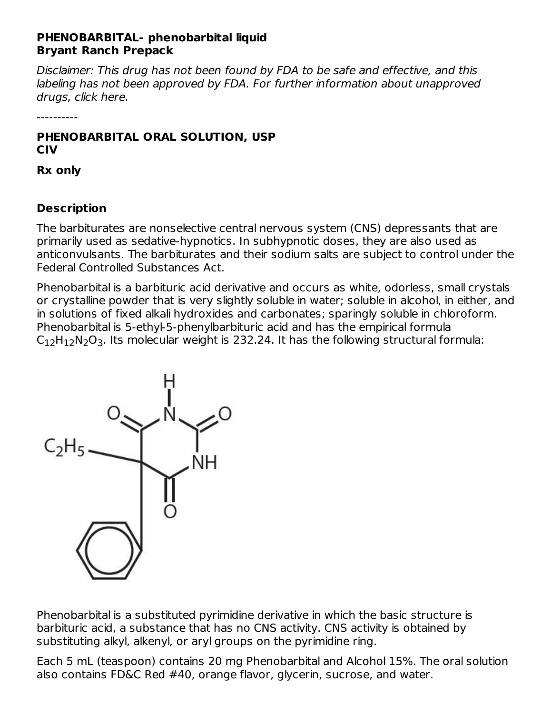#### **PHENOBARBITAL- phenobarbital liquid Bryant Ranch Prepack**

Disclaimer: This drug has not been found by FDA to be safe and effective, and this labeling has not been approved by FDA. For further information about unapproved drugs, click here.

----------

#### **PHENOBARBITAL ORAL SOLUTION, USP CIV**

**Rx only**

#### **Description**

The barbiturates are nonselective central nervous system (CNS) depressants that are primarily used as sedative-hypnotics. In subhypnotic doses, they are also used as anticonvulsants. The barbiturates and their sodium salts are subject to control under the Federal Controlled Substances Act.

Phenobarbital is a barbituric acid derivative and occurs as white, odorless, small crystals or crystalline powder that is very slightly soluble in water; soluble in alcohol, in either, and in solutions of fixed alkali hydroxides and carbonates; sparingly soluble in chloroform. Phenobarbital is 5-ethyl-5-phenylbarbituric acid and has the empirical formula  $C_{12}H_{12}N_2O_3$ . Its molecular weight is 232.24. It has the following structural formula:



Phenobarbital is a substituted pyrimidine derivative in which the basic structure is barbituric acid, a substance that has no CNS activity. CNS activity is obtained by substituting alkyl, alkenyl, or aryl groups on the pyrimidine ring.

Each 5 mL (teaspoon) contains 20 mg Phenobarbital and Alcohol 15%. The oral solution also contains FD&C Red #40, orange flavor, glycerin, sucrose, and water.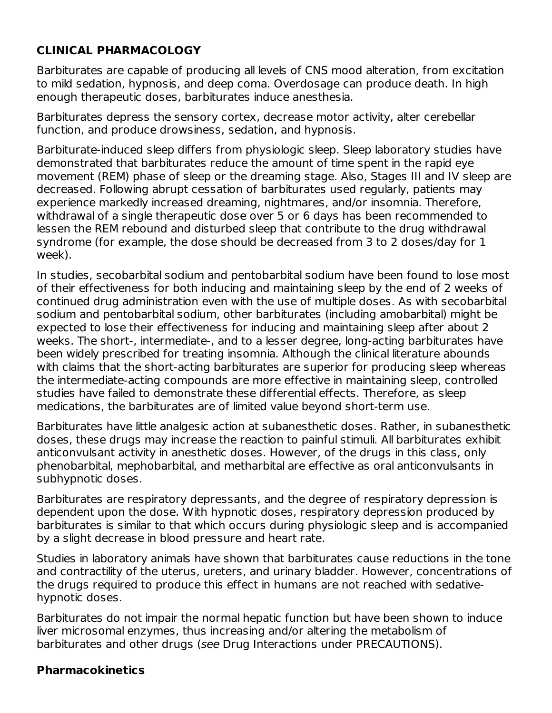### **CLINICAL PHARMACOLOGY**

Barbiturates are capable of producing all levels of CNS mood alteration, from excitation to mild sedation, hypnosis, and deep coma. Overdosage can produce death. In high enough therapeutic doses, barbiturates induce anesthesia.

Barbiturates depress the sensory cortex, decrease motor activity, alter cerebellar function, and produce drowsiness, sedation, and hypnosis.

Barbiturate-induced sleep differs from physiologic sleep. Sleep laboratory studies have demonstrated that barbiturates reduce the amount of time spent in the rapid eye movement (REM) phase of sleep or the dreaming stage. Also, Stages III and IV sleep are decreased. Following abrupt cessation of barbiturates used regularly, patients may experience markedly increased dreaming, nightmares, and/or insomnia. Therefore, withdrawal of a single therapeutic dose over 5 or 6 days has been recommended to lessen the REM rebound and disturbed sleep that contribute to the drug withdrawal syndrome (for example, the dose should be decreased from 3 to 2 doses/day for 1 week).

In studies, secobarbital sodium and pentobarbital sodium have been found to lose most of their effectiveness for both inducing and maintaining sleep by the end of 2 weeks of continued drug administration even with the use of multiple doses. As with secobarbital sodium and pentobarbital sodium, other barbiturates (including amobarbital) might be expected to lose their effectiveness for inducing and maintaining sleep after about 2 weeks. The short-, intermediate-, and to a lesser degree, long-acting barbiturates have been widely prescribed for treating insomnia. Although the clinical literature abounds with claims that the short-acting barbiturates are superior for producing sleep whereas the intermediate-acting compounds are more effective in maintaining sleep, controlled studies have failed to demonstrate these differential effects. Therefore, as sleep medications, the barbiturates are of limited value beyond short-term use.

Barbiturates have little analgesic action at subanesthetic doses. Rather, in subanesthetic doses, these drugs may increase the reaction to painful stimuli. All barbiturates exhibit anticonvulsant activity in anesthetic doses. However, of the drugs in this class, only phenobarbital, mephobarbital, and metharbital are effective as oral anticonvulsants in subhypnotic doses.

Barbiturates are respiratory depressants, and the degree of respiratory depression is dependent upon the dose. With hypnotic doses, respiratory depression produced by barbiturates is similar to that which occurs during physiologic sleep and is accompanied by a slight decrease in blood pressure and heart rate.

Studies in laboratory animals have shown that barbiturates cause reductions in the tone and contractility of the uterus, ureters, and urinary bladder. However, concentrations of the drugs required to produce this effect in humans are not reached with sedativehypnotic doses.

Barbiturates do not impair the normal hepatic function but have been shown to induce liver microsomal enzymes, thus increasing and/or altering the metabolism of barbiturates and other drugs (see Drug Interactions under PRECAUTIONS).

### **Pharmacokinetics**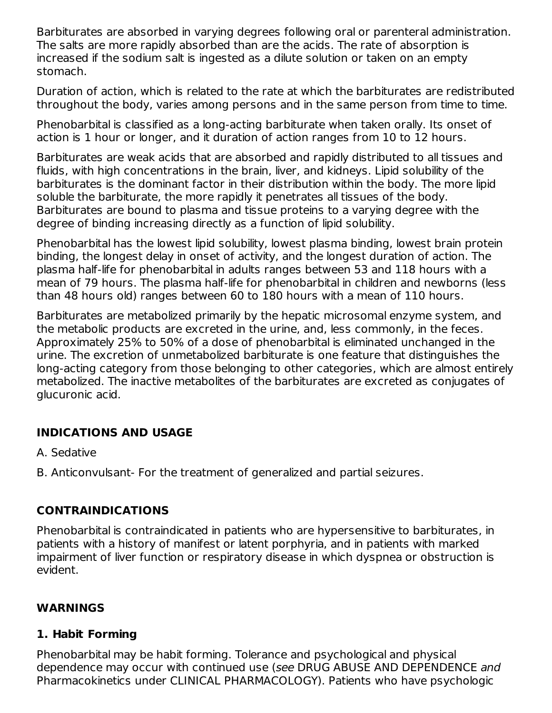Barbiturates are absorbed in varying degrees following oral or parenteral administration. The salts are more rapidly absorbed than are the acids. The rate of absorption is increased if the sodium salt is ingested as a dilute solution or taken on an empty stomach.

Duration of action, which is related to the rate at which the barbiturates are redistributed throughout the body, varies among persons and in the same person from time to time.

Phenobarbital is classified as a long-acting barbiturate when taken orally. Its onset of action is 1 hour or longer, and it duration of action ranges from 10 to 12 hours.

Barbiturates are weak acids that are absorbed and rapidly distributed to all tissues and fluids, with high concentrations in the brain, liver, and kidneys. Lipid solubility of the barbiturates is the dominant factor in their distribution within the body. The more lipid soluble the barbiturate, the more rapidly it penetrates all tissues of the body. Barbiturates are bound to plasma and tissue proteins to a varying degree with the degree of binding increasing directly as a function of lipid solubility.

Phenobarbital has the lowest lipid solubility, lowest plasma binding, lowest brain protein binding, the longest delay in onset of activity, and the longest duration of action. The plasma half-life for phenobarbital in adults ranges between 53 and 118 hours with a mean of 79 hours. The plasma half-life for phenobarbital in children and newborns (less than 48 hours old) ranges between 60 to 180 hours with a mean of 110 hours.

Barbiturates are metabolized primarily by the hepatic microsomal enzyme system, and the metabolic products are excreted in the urine, and, less commonly, in the feces. Approximately 25% to 50% of a dose of phenobarbital is eliminated unchanged in the urine. The excretion of unmetabolized barbiturate is one feature that distinguishes the long-acting category from those belonging to other categories, which are almost entirely metabolized. The inactive metabolites of the barbiturates are excreted as conjugates of glucuronic acid.

#### **INDICATIONS AND USAGE**

A. Sedative

B. Anticonvulsant- For the treatment of generalized and partial seizures.

### **CONTRAINDICATIONS**

Phenobarbital is contraindicated in patients who are hypersensitive to barbiturates, in patients with a history of manifest or latent porphyria, and in patients with marked impairment of liver function or respiratory disease in which dyspnea or obstruction is evident.

### **WARNINGS**

#### **1. Habit Forming**

Phenobarbital may be habit forming. Tolerance and psychological and physical dependence may occur with continued use (see DRUG ABUSE AND DEPENDENCE and Pharmacokinetics under CLINICAL PHARMACOLOGY). Patients who have psychologic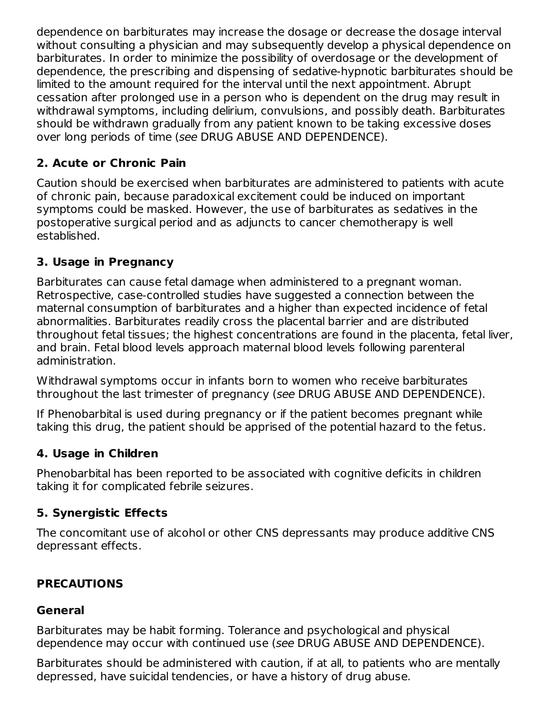dependence on barbiturates may increase the dosage or decrease the dosage interval without consulting a physician and may subsequently develop a physical dependence on barbiturates. In order to minimize the possibility of overdosage or the development of dependence, the prescribing and dispensing of sedative-hypnotic barbiturates should be limited to the amount required for the interval until the next appointment. Abrupt cessation after prolonged use in a person who is dependent on the drug may result in withdrawal symptoms, including delirium, convulsions, and possibly death. Barbiturates should be withdrawn gradually from any patient known to be taking excessive doses over long periods of time (see DRUG ABUSE AND DEPENDENCE).

# **2. Acute or Chronic Pain**

Caution should be exercised when barbiturates are administered to patients with acute of chronic pain, because paradoxical excitement could be induced on important symptoms could be masked. However, the use of barbiturates as sedatives in the postoperative surgical period and as adjuncts to cancer chemotherapy is well established.

# **3. Usage in Pregnancy**

Barbiturates can cause fetal damage when administered to a pregnant woman. Retrospective, case-controlled studies have suggested a connection between the maternal consumption of barbiturates and a higher than expected incidence of fetal abnormalities. Barbiturates readily cross the placental barrier and are distributed throughout fetal tissues; the highest concentrations are found in the placenta, fetal liver, and brain. Fetal blood levels approach maternal blood levels following parenteral administration.

Withdrawal symptoms occur in infants born to women who receive barbiturates throughout the last trimester of pregnancy (see DRUG ABUSE AND DEPENDENCE).

If Phenobarbital is used during pregnancy or if the patient becomes pregnant while taking this drug, the patient should be apprised of the potential hazard to the fetus.

# **4. Usage in Children**

Phenobarbital has been reported to be associated with cognitive deficits in children taking it for complicated febrile seizures.

# **5. Synergistic Effects**

The concomitant use of alcohol or other CNS depressants may produce additive CNS depressant effects.

# **PRECAUTIONS**

# **General**

Barbiturates may be habit forming. Tolerance and psychological and physical dependence may occur with continued use (see DRUG ABUSE AND DEPENDENCE).

Barbiturates should be administered with caution, if at all, to patients who are mentally depressed, have suicidal tendencies, or have a history of drug abuse.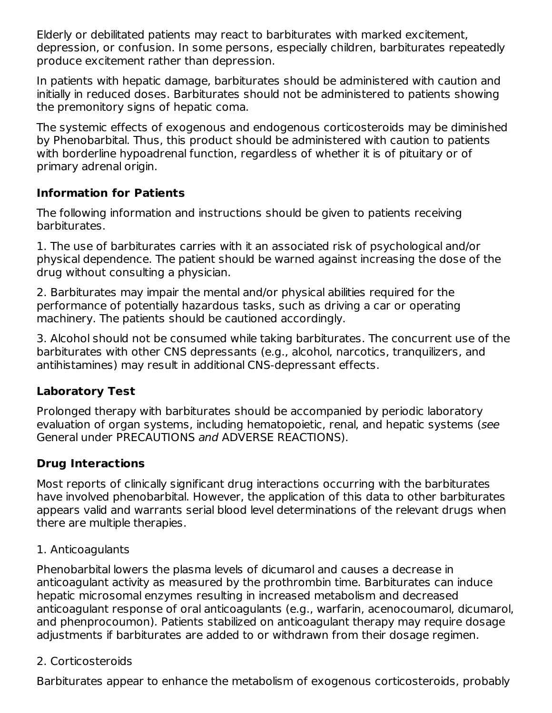Elderly or debilitated patients may react to barbiturates with marked excitement, depression, or confusion. In some persons, especially children, barbiturates repeatedly produce excitement rather than depression.

In patients with hepatic damage, barbiturates should be administered with caution and initially in reduced doses. Barbiturates should not be administered to patients showing the premonitory signs of hepatic coma.

The systemic effects of exogenous and endogenous corticosteroids may be diminished by Phenobarbital. Thus, this product should be administered with caution to patients with borderline hypoadrenal function, regardless of whether it is of pituitary or of primary adrenal origin.

## **Information for Patients**

The following information and instructions should be given to patients receiving barbiturates.

1. The use of barbiturates carries with it an associated risk of psychological and/or physical dependence. The patient should be warned against increasing the dose of the drug without consulting a physician.

2. Barbiturates may impair the mental and/or physical abilities required for the performance of potentially hazardous tasks, such as driving a car or operating machinery. The patients should be cautioned accordingly.

3. Alcohol should not be consumed while taking barbiturates. The concurrent use of the barbiturates with other CNS depressants (e.g., alcohol, narcotics, tranquilizers, and antihistamines) may result in additional CNS-depressant effects.

# **Laboratory Test**

Prolonged therapy with barbiturates should be accompanied by periodic laboratory evaluation of organ systems, including hematopoietic, renal, and hepatic systems (see General under PRECAUTIONS and ADVERSE REACTIONS).

# **Drug Interactions**

Most reports of clinically significant drug interactions occurring with the barbiturates have involved phenobarbital. However, the application of this data to other barbiturates appears valid and warrants serial blood level determinations of the relevant drugs when there are multiple therapies.

### 1. Anticoagulants

Phenobarbital lowers the plasma levels of dicumarol and causes a decrease in anticoagulant activity as measured by the prothrombin time. Barbiturates can induce hepatic microsomal enzymes resulting in increased metabolism and decreased anticoagulant response of oral anticoagulants (e.g., warfarin, acenocoumarol, dicumarol, and phenprocoumon). Patients stabilized on anticoagulant therapy may require dosage adjustments if barbiturates are added to or withdrawn from their dosage regimen.

### 2. Corticosteroids

Barbiturates appear to enhance the metabolism of exogenous corticosteroids, probably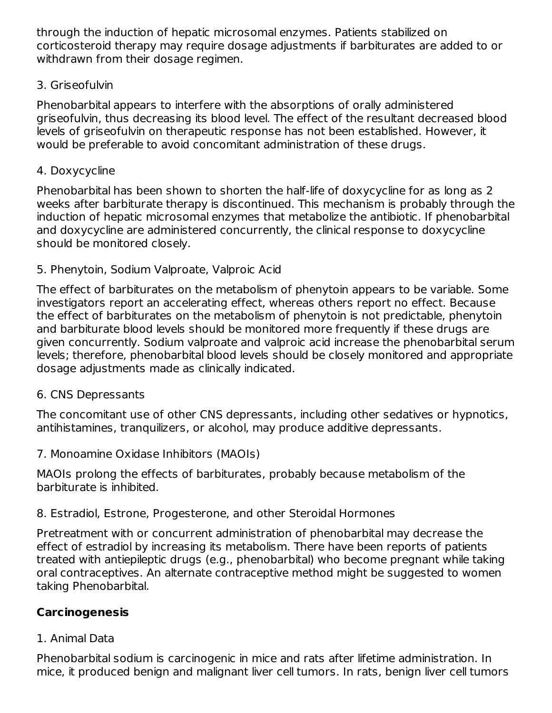through the induction of hepatic microsomal enzymes. Patients stabilized on corticosteroid therapy may require dosage adjustments if barbiturates are added to or withdrawn from their dosage regimen.

#### 3. Griseofulvin

Phenobarbital appears to interfere with the absorptions of orally administered griseofulvin, thus decreasing its blood level. The effect of the resultant decreased blood levels of griseofulvin on therapeutic response has not been established. However, it would be preferable to avoid concomitant administration of these drugs.

### 4. Doxycycline

Phenobarbital has been shown to shorten the half-life of doxycycline for as long as 2 weeks after barbiturate therapy is discontinued. This mechanism is probably through the induction of hepatic microsomal enzymes that metabolize the antibiotic. If phenobarbital and doxycycline are administered concurrently, the clinical response to doxycycline should be monitored closely.

#### 5. Phenytoin, Sodium Valproate, Valproic Acid

The effect of barbiturates on the metabolism of phenytoin appears to be variable. Some investigators report an accelerating effect, whereas others report no effect. Because the effect of barbiturates on the metabolism of phenytoin is not predictable, phenytoin and barbiturate blood levels should be monitored more frequently if these drugs are given concurrently. Sodium valproate and valproic acid increase the phenobarbital serum levels; therefore, phenobarbital blood levels should be closely monitored and appropriate dosage adjustments made as clinically indicated.

#### 6. CNS Depressants

The concomitant use of other CNS depressants, including other sedatives or hypnotics, antihistamines, tranquilizers, or alcohol, may produce additive depressants.

7. Monoamine Oxidase Inhibitors (MAOIs)

MAOIs prolong the effects of barbiturates, probably because metabolism of the barbiturate is inhibited.

### 8. Estradiol, Estrone, Progesterone, and other Steroidal Hormones

Pretreatment with or concurrent administration of phenobarbital may decrease the effect of estradiol by increasing its metabolism. There have been reports of patients treated with antiepileptic drugs (e.g., phenobarbital) who become pregnant while taking oral contraceptives. An alternate contraceptive method might be suggested to women taking Phenobarbital.

### **Carcinogenesis**

### 1. Animal Data

Phenobarbital sodium is carcinogenic in mice and rats after lifetime administration. In mice, it produced benign and malignant liver cell tumors. In rats, benign liver cell tumors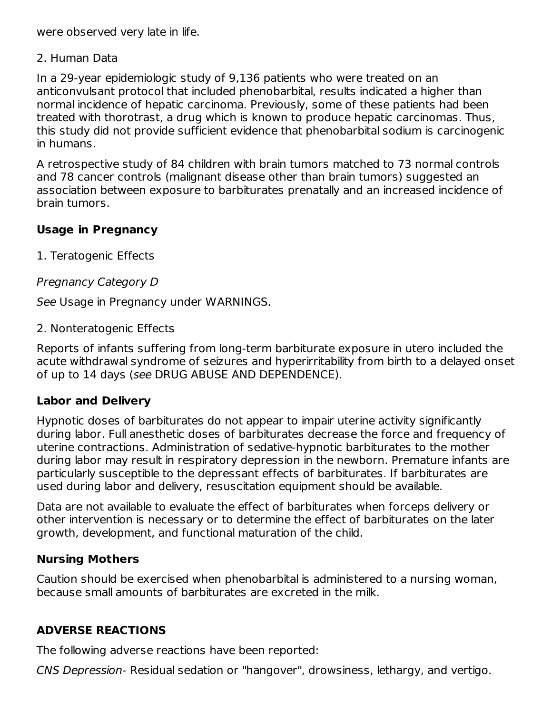were observed very late in life.

2. Human Data

In a 29-year epidemiologic study of 9,136 patients who were treated on an anticonvulsant protocol that included phenobarbital, results indicated a higher than normal incidence of hepatic carcinoma. Previously, some of these patients had been treated with thorotrast, a drug which is known to produce hepatic carcinomas. Thus, this study did not provide sufficient evidence that phenobarbital sodium is carcinogenic in humans.

A retrospective study of 84 children with brain tumors matched to 73 normal controls and 78 cancer controls (malignant disease other than brain tumors) suggested an association between exposure to barbiturates prenatally and an increased incidence of brain tumors.

## **Usage in Pregnancy**

1. Teratogenic Effects

Pregnancy Category D

See Usage in Pregnancy under WARNINGS.

2. Nonteratogenic Effects

Reports of infants suffering from long-term barbiturate exposure in utero included the acute withdrawal syndrome of seizures and hyperirritability from birth to a delayed onset of up to 14 days (see DRUG ABUSE AND DEPENDENCE).

#### **Labor and Delivery**

Hypnotic doses of barbiturates do not appear to impair uterine activity significantly during labor. Full anesthetic doses of barbiturates decrease the force and frequency of uterine contractions. Administration of sedative-hypnotic barbiturates to the mother during labor may result in respiratory depression in the newborn. Premature infants are particularly susceptible to the depressant effects of barbiturates. If barbiturates are used during labor and delivery, resuscitation equipment should be available.

Data are not available to evaluate the effect of barbiturates when forceps delivery or other intervention is necessary or to determine the effect of barbiturates on the later growth, development, and functional maturation of the child.

### **Nursing Mothers**

Caution should be exercised when phenobarbital is administered to a nursing woman, because small amounts of barbiturates are excreted in the milk.

### **ADVERSE REACTIONS**

The following adverse reactions have been reported:

CNS Depression- Residual sedation or "hangover", drowsiness, lethargy, and vertigo.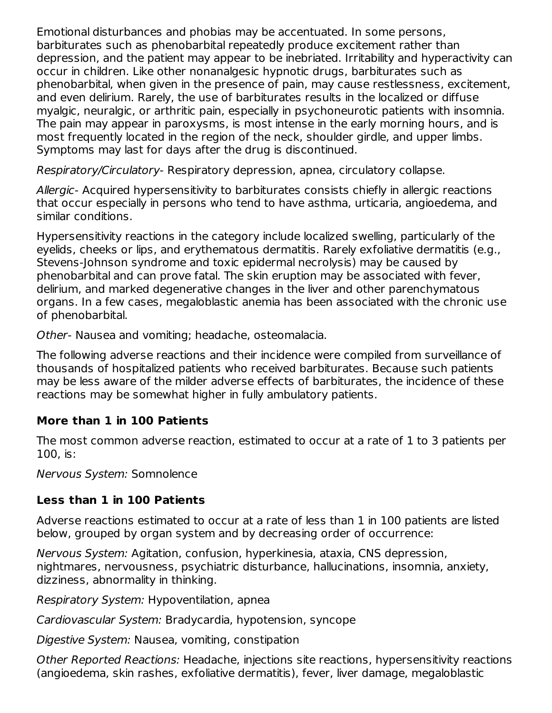Emotional disturbances and phobias may be accentuated. In some persons, barbiturates such as phenobarbital repeatedly produce excitement rather than depression, and the patient may appear to be inebriated. Irritability and hyperactivity can occur in children. Like other nonanalgesic hypnotic drugs, barbiturates such as phenobarbital, when given in the presence of pain, may cause restlessness, excitement, and even delirium. Rarely, the use of barbiturates results in the localized or diffuse myalgic, neuralgic, or arthritic pain, especially in psychoneurotic patients with insomnia. The pain may appear in paroxysms, is most intense in the early morning hours, and is most frequently located in the region of the neck, shoulder girdle, and upper limbs. Symptoms may last for days after the drug is discontinued.

Respiratory/Circulatory- Respiratory depression, apnea, circulatory collapse.

Allergic- Acquired hypersensitivity to barbiturates consists chiefly in allergic reactions that occur especially in persons who tend to have asthma, urticaria, angioedema, and similar conditions.

Hypersensitivity reactions in the category include localized swelling, particularly of the eyelids, cheeks or lips, and erythematous dermatitis. Rarely exfoliative dermatitis (e.g., Stevens-Johnson syndrome and toxic epidermal necrolysis) may be caused by phenobarbital and can prove fatal. The skin eruption may be associated with fever, delirium, and marked degenerative changes in the liver and other parenchymatous organs. In a few cases, megaloblastic anemia has been associated with the chronic use of phenobarbital.

Other- Nausea and vomiting; headache, osteomalacia.

The following adverse reactions and their incidence were compiled from surveillance of thousands of hospitalized patients who received barbiturates. Because such patients may be less aware of the milder adverse effects of barbiturates, the incidence of these reactions may be somewhat higher in fully ambulatory patients.

### **More than 1 in 100 Patients**

The most common adverse reaction, estimated to occur at a rate of 1 to 3 patients per 100, is:

Nervous System: Somnolence

### **Less than 1 in 100 Patients**

Adverse reactions estimated to occur at a rate of less than 1 in 100 patients are listed below, grouped by organ system and by decreasing order of occurrence:

Nervous System: Agitation, confusion, hyperkinesia, ataxia, CNS depression, nightmares, nervousness, psychiatric disturbance, hallucinations, insomnia, anxiety, dizziness, abnormality in thinking.

Respiratory System: Hypoventilation, apnea

Cardiovascular System: Bradycardia, hypotension, syncope

Digestive System: Nausea, vomiting, constipation

Other Reported Reactions: Headache, injections site reactions, hypersensitivity reactions (angioedema, skin rashes, exfoliative dermatitis), fever, liver damage, megaloblastic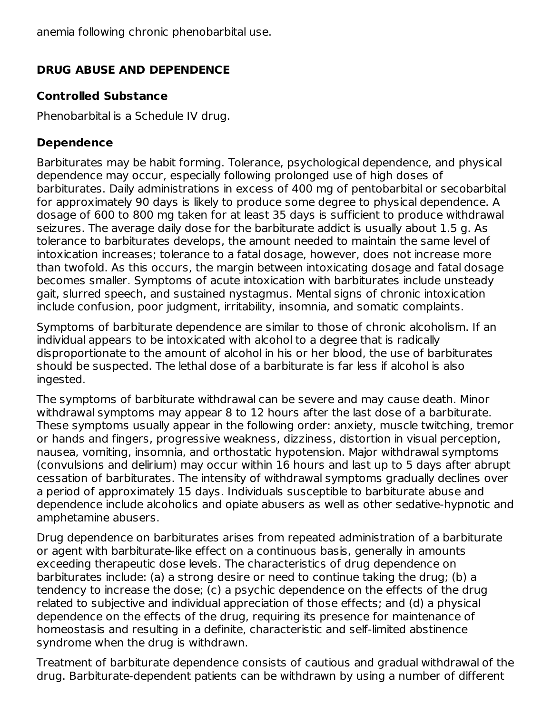anemia following chronic phenobarbital use.

#### **DRUG ABUSE AND DEPENDENCE**

#### **Controlled Substance**

Phenobarbital is a Schedule IV drug.

### **Dependence**

Barbiturates may be habit forming. Tolerance, psychological dependence, and physical dependence may occur, especially following prolonged use of high doses of barbiturates. Daily administrations in excess of 400 mg of pentobarbital or secobarbital for approximately 90 days is likely to produce some degree to physical dependence. A dosage of 600 to 800 mg taken for at least 35 days is sufficient to produce withdrawal seizures. The average daily dose for the barbiturate addict is usually about 1.5 g. As tolerance to barbiturates develops, the amount needed to maintain the same level of intoxication increases; tolerance to a fatal dosage, however, does not increase more than twofold. As this occurs, the margin between intoxicating dosage and fatal dosage becomes smaller. Symptoms of acute intoxication with barbiturates include unsteady gait, slurred speech, and sustained nystagmus. Mental signs of chronic intoxication include confusion, poor judgment, irritability, insomnia, and somatic complaints.

Symptoms of barbiturate dependence are similar to those of chronic alcoholism. If an individual appears to be intoxicated with alcohol to a degree that is radically disproportionate to the amount of alcohol in his or her blood, the use of barbiturates should be suspected. The lethal dose of a barbiturate is far less if alcohol is also ingested.

The symptoms of barbiturate withdrawal can be severe and may cause death. Minor withdrawal symptoms may appear 8 to 12 hours after the last dose of a barbiturate. These symptoms usually appear in the following order: anxiety, muscle twitching, tremor or hands and fingers, progressive weakness, dizziness, distortion in visual perception, nausea, vomiting, insomnia, and orthostatic hypotension. Major withdrawal symptoms (convulsions and delirium) may occur within 16 hours and last up to 5 days after abrupt cessation of barbiturates. The intensity of withdrawal symptoms gradually declines over a period of approximately 15 days. Individuals susceptible to barbiturate abuse and dependence include alcoholics and opiate abusers as well as other sedative-hypnotic and amphetamine abusers.

Drug dependence on barbiturates arises from repeated administration of a barbiturate or agent with barbiturate-like effect on a continuous basis, generally in amounts exceeding therapeutic dose levels. The characteristics of drug dependence on barbiturates include: (a) a strong desire or need to continue taking the drug; (b) a tendency to increase the dose; (c) a psychic dependence on the effects of the drug related to subjective and individual appreciation of those effects; and (d) a physical dependence on the effects of the drug, requiring its presence for maintenance of homeostasis and resulting in a definite, characteristic and self-limited abstinence syndrome when the drug is withdrawn.

Treatment of barbiturate dependence consists of cautious and gradual withdrawal of the drug. Barbiturate-dependent patients can be withdrawn by using a number of different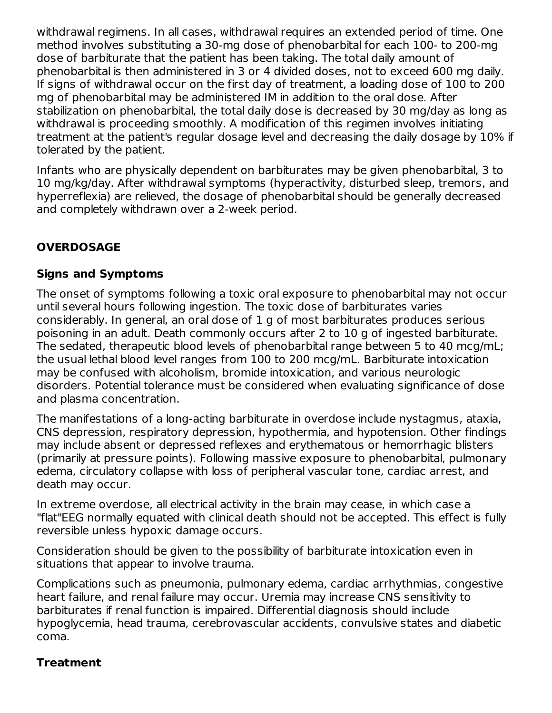withdrawal regimens. In all cases, withdrawal requires an extended period of time. One method involves substituting a 30-mg dose of phenobarbital for each 100- to 200-mg dose of barbiturate that the patient has been taking. The total daily amount of phenobarbital is then administered in 3 or 4 divided doses, not to exceed 600 mg daily. If signs of withdrawal occur on the first day of treatment, a loading dose of 100 to 200 mg of phenobarbital may be administered IM in addition to the oral dose. After stabilization on phenobarbital, the total daily dose is decreased by 30 mg/day as long as withdrawal is proceeding smoothly. A modification of this regimen involves initiating treatment at the patient's regular dosage level and decreasing the daily dosage by 10% if tolerated by the patient.

Infants who are physically dependent on barbiturates may be given phenobarbital, 3 to 10 mg/kg/day. After withdrawal symptoms (hyperactivity, disturbed sleep, tremors, and hyperreflexia) are relieved, the dosage of phenobarbital should be generally decreased and completely withdrawn over a 2-week period.

### **OVERDOSAGE**

#### **Signs and Symptoms**

The onset of symptoms following a toxic oral exposure to phenobarbital may not occur until several hours following ingestion. The toxic dose of barbiturates varies considerably. In general, an oral dose of 1 g of most barbiturates produces serious poisoning in an adult. Death commonly occurs after 2 to 10 g of ingested barbiturate. The sedated, therapeutic blood levels of phenobarbital range between 5 to 40 mcg/mL; the usual lethal blood level ranges from 100 to 200 mcg/mL. Barbiturate intoxication may be confused with alcoholism, bromide intoxication, and various neurologic disorders. Potential tolerance must be considered when evaluating significance of dose and plasma concentration.

The manifestations of a long-acting barbiturate in overdose include nystagmus, ataxia, CNS depression, respiratory depression, hypothermia, and hypotension. Other findings may include absent or depressed reflexes and erythematous or hemorrhagic blisters (primarily at pressure points). Following massive exposure to phenobarbital, pulmonary edema, circulatory collapse with loss of peripheral vascular tone, cardiac arrest, and death may occur.

In extreme overdose, all electrical activity in the brain may cease, in which case a "flat"EEG normally equated with clinical death should not be accepted. This effect is fully reversible unless hypoxic damage occurs.

Consideration should be given to the possibility of barbiturate intoxication even in situations that appear to involve trauma.

Complications such as pneumonia, pulmonary edema, cardiac arrhythmias, congestive heart failure, and renal failure may occur. Uremia may increase CNS sensitivity to barbiturates if renal function is impaired. Differential diagnosis should include hypoglycemia, head trauma, cerebrovascular accidents, convulsive states and diabetic coma.

### **Treatment**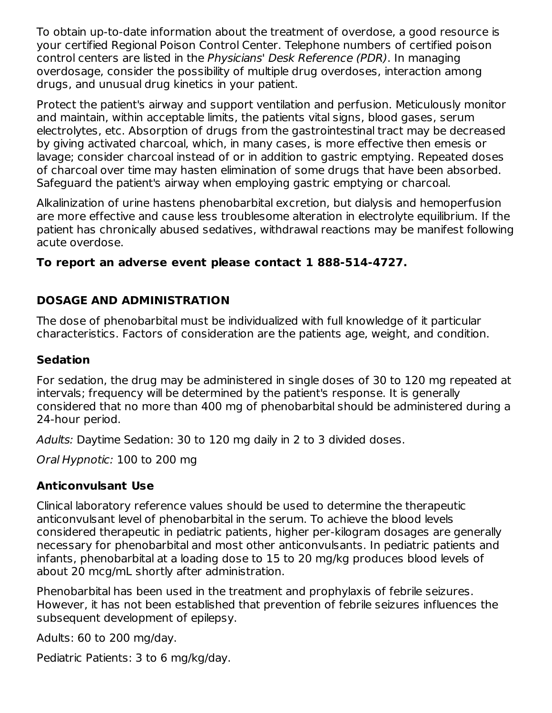To obtain up-to-date information about the treatment of overdose, a good resource is your certified Regional Poison Control Center. Telephone numbers of certified poison control centers are listed in the Physicians' Desk Reference (PDR). In managing overdosage, consider the possibility of multiple drug overdoses, interaction among drugs, and unusual drug kinetics in your patient.

Protect the patient's airway and support ventilation and perfusion. Meticulously monitor and maintain, within acceptable limits, the patients vital signs, blood gases, serum electrolytes, etc. Absorption of drugs from the gastrointestinal tract may be decreased by giving activated charcoal, which, in many cases, is more effective then emesis or lavage; consider charcoal instead of or in addition to gastric emptying. Repeated doses of charcoal over time may hasten elimination of some drugs that have been absorbed. Safeguard the patient's airway when employing gastric emptying or charcoal.

Alkalinization of urine hastens phenobarbital excretion, but dialysis and hemoperfusion are more effective and cause less troublesome alteration in electrolyte equilibrium. If the patient has chronically abused sedatives, withdrawal reactions may be manifest following acute overdose.

### **To report an adverse event please contact 1 888-514-4727.**

# **DOSAGE AND ADMINISTRATION**

The dose of phenobarbital must be individualized with full knowledge of it particular characteristics. Factors of consideration are the patients age, weight, and condition.

#### **Sedation**

For sedation, the drug may be administered in single doses of 30 to 120 mg repeated at intervals; frequency will be determined by the patient's response. It is generally considered that no more than 400 mg of phenobarbital should be administered during a 24-hour period.

Adults: Daytime Sedation: 30 to 120 mg daily in 2 to 3 divided doses.

Oral Hypnotic: 100 to 200 mg

### **Anticonvulsant Use**

Clinical laboratory reference values should be used to determine the therapeutic anticonvulsant level of phenobarbital in the serum. To achieve the blood levels considered therapeutic in pediatric patients, higher per-kilogram dosages are generally necessary for phenobarbital and most other anticonvulsants. In pediatric patients and infants, phenobarbital at a loading dose to 15 to 20 mg/kg produces blood levels of about 20 mcg/mL shortly after administration.

Phenobarbital has been used in the treatment and prophylaxis of febrile seizures. However, it has not been established that prevention of febrile seizures influences the subsequent development of epilepsy.

Adults: 60 to 200 mg/day.

Pediatric Patients: 3 to 6 mg/kg/day.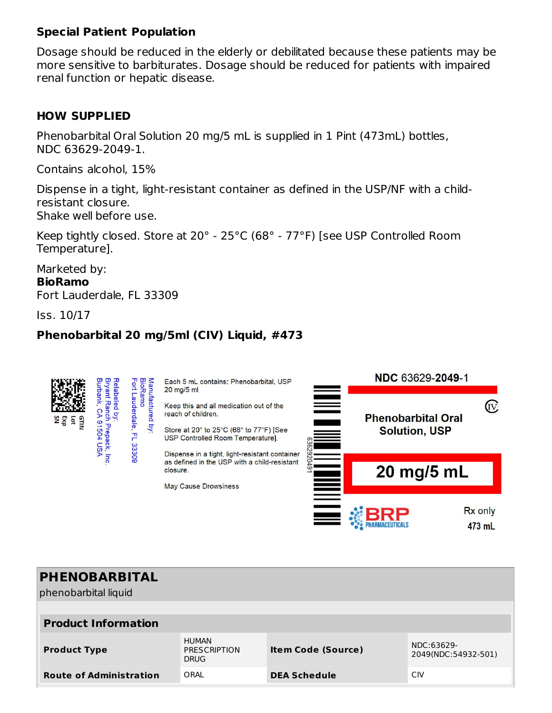#### **Special Patient Population**

Dosage should be reduced in the elderly or debilitated because these patients may be more sensitive to barbiturates. Dosage should be reduced for patients with impaired renal function or hepatic disease.

#### **HOW SUPPLIED**

Phenobarbital Oral Solution 20 mg/5 mL is supplied in 1 Pint (473mL) bottles, NDC 63629-2049-1.

Contains alcohol, 15%

Dispense in a tight, light-resistant container as defined in the USP/NF with a childresistant closure. Shake well before use.

Keep tightly closed. Store at 20° - 25°C (68° - 77°F) [see USP Controlled Room Temperature].

Marketed by:

**BioRamo** Fort Lauderdale, FL 33309

Iss. 10/17

### **Phenobarbital 20 mg/5ml (CIV) Liquid, #473**



Each 5 mL contains: Phenobarbital, USP 20 mg/5 ml

Keep this and all medication out of the reach of children.

Store at 20° to 25°C (68° to 77°F) [See USP Controlled Room Temperature].

Dispense in a tight, light-resistant container as defined in the USP with a child-resistant closure.

**May Cause Drowsiness** 



NDC 63629-2049-1

| <b>PHENOBARBITAL</b><br>phenobarbital liquid |                                      |                           |                                   |  |  |
|----------------------------------------------|--------------------------------------|---------------------------|-----------------------------------|--|--|
| <b>Product Information</b>                   |                                      |                           |                                   |  |  |
| <b>Product Type</b>                          | HUMAN<br>PRESCRIPTION<br><b>DRUG</b> | <b>Item Code (Source)</b> | NDC:63629-<br>2049(NDC:54932-501) |  |  |
| <b>Route of Administration</b>               | ORAL                                 | <b>DEA Schedule</b>       | <b>CIV</b>                        |  |  |